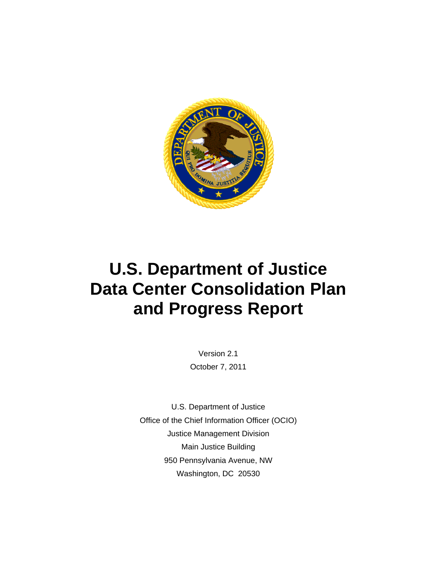

# **U.S. Department of Justice Data Center Consolidation Plan and Progress Report**

Version 2.1 October 7, 2011

U.S. Department of Justice Office of the Chief Information Officer (OCIO) Justice Management Division Main Justice Building 950 Pennsylvania Avenue, NW Washington, DC 20530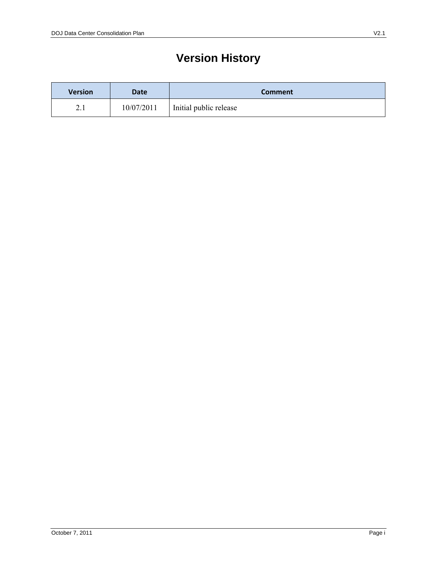# **Version History**

| <b>Version</b>             | Date       | <b>Comment</b>         |  |
|----------------------------|------------|------------------------|--|
| $\bigcap$ 1<br>$\angle$ .1 | 10/07/2011 | Initial public release |  |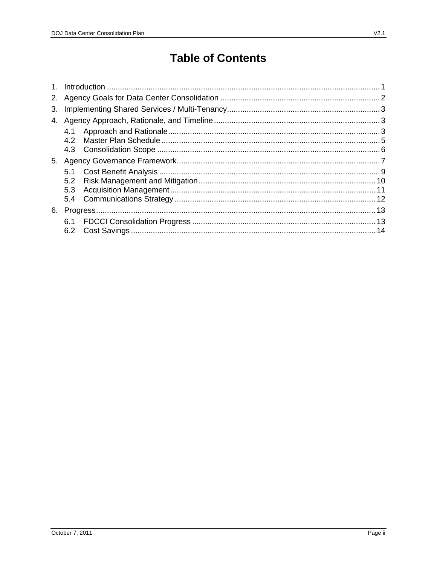# **Table of Contents**

| 2. |     |  |
|----|-----|--|
| 3. |     |  |
| 4. |     |  |
|    | 4.1 |  |
|    | 4.2 |  |
|    |     |  |
| 5. |     |  |
|    | 5.1 |  |
|    | 5.2 |  |
|    | 5.3 |  |
|    |     |  |
| 6. |     |  |
|    |     |  |
|    |     |  |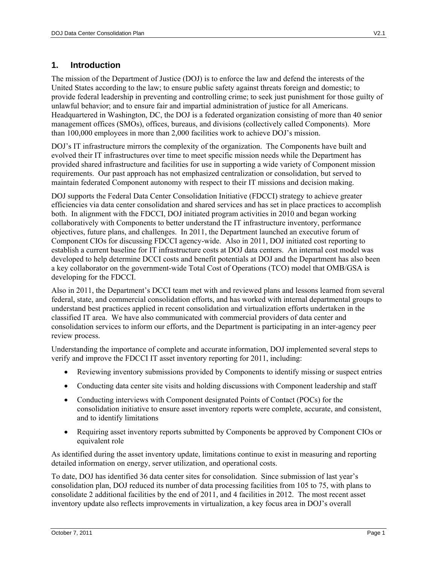# **1. Introduction**

 than 100,000 employees in more than 2,000 facilities work to achieve DOJ's mission. The mission of the Department of Justice (DOJ) is to enforce the law and defend the interests of the United States according to the law; to ensure public safety against threats foreign and domestic; to provide federal leadership in preventing and controlling crime; to seek just punishment for those guilty of unlawful behavior; and to ensure fair and impartial administration of justice for all Americans. Headquartered in Washington, DC, the DOJ is a federated organization consisting of more than 40 senior management offices (SMOs), offices, bureaus, and divisions (collectively called Components). More

DOJ's IT infrastructure mirrors the complexity of the organization. The Components have built and evolved their IT infrastructures over time to meet specific mission needs while the Department has provided shared infrastructure and facilities for use in supporting a wide variety of Component mission requirements. Our past approach has not emphasized centralization or consolidation, but served to maintain federated Component autonomy with respect to their IT missions and decision making.

DOJ supports the Federal Data Center Consolidation Initiative (FDCCI) strategy to achieve greater efficiencies via data center consolidation and shared services and has set in place practices to accomplish both. In alignment with the FDCCI, DOJ initiated program activities in 2010 and began working collaboratively with Components to better understand the IT infrastructure inventory, performance objectives, future plans, and challenges. In 2011, the Department launched an executive forum of Component CIOs for discussing FDCCI agency-wide. Also in 2011, DOJ initiated cost reporting to establish a current baseline for IT infrastructure costs at DOJ data centers. An internal cost model was developed to help determine DCCI costs and benefit potentials at DOJ and the Department has also been a key collaborator on the government-wide Total Cost of Operations (TCO) model that OMB/GSA is developing for the FDCCI.

Also in 2011, the Department's DCCI team met with and reviewed plans and lessons learned from several federal, state, and commercial consolidation efforts, and has worked with internal departmental groups to understand best practices applied in recent consolidation and virtualization efforts undertaken in the classified IT area. We have also communicated with commercial providers of data center and consolidation services to inform our efforts, and the Department is participating in an inter-agency peer review process.

Understanding the importance of complete and accurate information, DOJ implemented several steps to verify and improve the FDCCI IT asset inventory reporting for 2011, including:

- Reviewing inventory submissions provided by Components to identify missing or suspect entries
- Conducting data center site visits and holding discussions with Component leadership and staff
- Conducting interviews with Component designated Points of Contact (POCs) for the consolidation initiative to ensure asset inventory reports were complete, accurate, and consistent, and to identify limitations
- Requiring asset inventory reports submitted by Components be approved by Component CIOs or equivalent role

As identified during the asset inventory update, limitations continue to exist in measuring and reporting detailed information on energy, server utilization, and operational costs.

 To date, DOJ has identified 36 data center sites for consolidation. Since submission of last year's consolidation plan, DOJ reduced its number of data processing facilities from 105 to 75, with plans to consolidate 2 additional facilities by the end of 2011, and 4 facilities in 2012. The most recent asset inventory update also reflects improvements in virtualization, a key focus area in DOJ's overall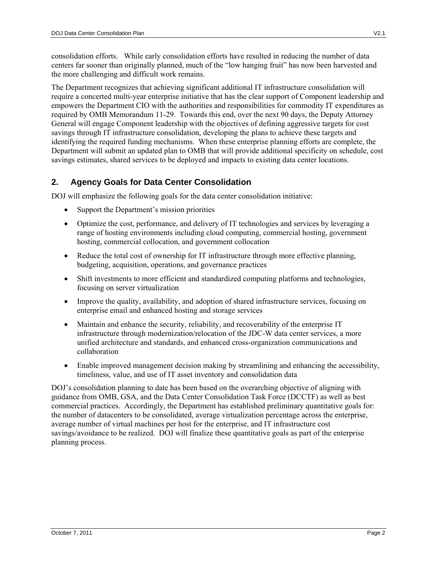consolidation efforts. While early consolidation efforts have resulted in reducing the number of data centers far sooner than originally planned, much of the "low hanging fruit" has now been harvested and the more challenging and difficult work remains.

The Department recognizes that achieving significant additional IT infrastructure consolidation will require a concerted multi-year enterprise initiative that has the clear support of Component leadership and empowers the Department CIO with the authorities and responsibilities for commodity IT expenditures as required by OMB Memorandum 11-29. Towards this end, over the next 90 days, the Deputy Attorney General will engage Component leadership with the objectives of defining aggressive targets for cost savings through IT infrastructure consolidation, developing the plans to achieve these targets and identifying the required funding mechanisms. When these enterprise planning efforts are complete, the Department will submit an updated plan to OMB that will provide additional specificity on schedule, cost savings estimates, shared services to be deployed and impacts to existing data center locations.

# **2. Agency Goals for Data Center Consolidation**

DOJ will emphasize the following goals for the data center consolidation initiative:

- Support the Department's mission priorities
- Optimize the cost, performance, and delivery of IT technologies and services by leveraging a range of hosting environments including cloud computing, commercial hosting, government hosting, commercial collocation, and government collocation
- Reduce the total cost of ownership for IT infrastructure through more effective planning, budgeting, acquisition, operations, and governance practices
- Shift investments to more efficient and standardized computing platforms and technologies, focusing on server virtualization
- Improve the quality, availability, and adoption of shared infrastructure services, focusing on enterprise email and enhanced hosting and storage services
- Maintain and enhance the security, reliability, and recoverability of the enterprise IT infrastructure through modernization/relocation of the JDC-W data center services, a more unified architecture and standards, and enhanced cross-organization communications and collaboration
- Enable improved management decision making by streamlining and enhancing the accessibility, timeliness, value, and use of IT asset inventory and consolidation data

DOJ's consolidation planning to date has been based on the overarching objective of aligning with guidance from OMB, GSA, and the Data Center Consolidation Task Force (DCCTF) as well as best commercial practices. Accordingly, the Department has established preliminary quantitative goals for: the number of datacenters to be consolidated, average virtualization percentage across the enterprise, average number of virtual machines per host for the enterprise, and IT infrastructure cost savings/avoidance to be realized. DOJ will finalize these quantitative goals as part of the enterprise planning process.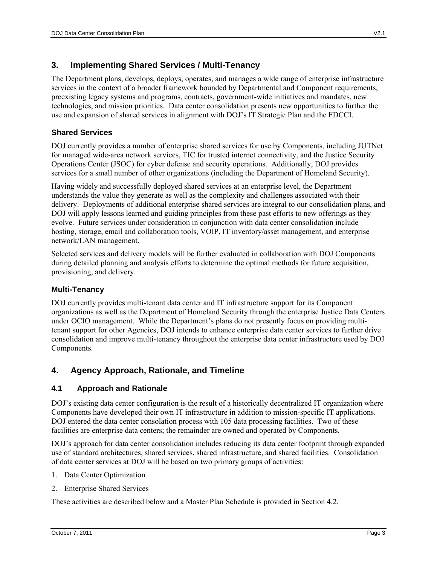# **3. Implementing Shared Services / Multi-Tenancy**

The Department plans, develops, deploys, operates, and manages a wide range of enterprise infrastructure services in the context of a broader framework bounded by Departmental and Component requirements, preexisting legacy systems and programs, contracts, government-wide initiatives and mandates, new technologies, and mission priorities. Data center consolidation presents new opportunities to further the use and expansion of shared services in alignment with DOJ's IT Strategic Plan and the FDCCI.

# **Shared Services**

DOJ currently provides a number of enterprise shared services for use by Components, including JUTNet for managed wide-area network services, TIC for trusted internet connectivity, and the Justice Security Operations Center (JSOC) for cyber defense and security operations. Additionally, DOJ provides services for a small number of other organizations (including the Department of Homeland Security).

Having widely and successfully deployed shared services at an enterprise level, the Department understands the value they generate as well as the complexity and challenges associated with their delivery. Deployments of additional enterprise shared services are integral to our consolidation plans, and DOJ will apply lessons learned and guiding principles from these past efforts to new offerings as they evolve. Future services under consideration in conjunction with data center consolidation include hosting, storage, email and collaboration tools, VOIP, IT inventory/asset management, and enterprise network/LAN management.

Selected services and delivery models will be further evaluated in collaboration with DOJ Components during detailed planning and analysis efforts to determine the optimal methods for future acquisition, provisioning, and delivery.

### **Multi-Tenancy**

DOJ currently provides multi-tenant data center and IT infrastructure support for its Component organizations as well as the Department of Homeland Security through the enterprise Justice Data Centers under OCIO management. While the Department's plans do not presently focus on providing multitenant support for other Agencies, DOJ intends to enhance enterprise data center services to further drive consolidation and improve multi-tenancy throughout the enterprise data center infrastructure used by DOJ Components.

# **4. Agency Approach, Rationale, and Timeline**

### **4.1 Approach and Rationale**

DOJ's existing data center configuration is the result of a historically decentralized IT organization where Components have developed their own IT infrastructure in addition to mission-specific IT applications. DOJ entered the data center consolation process with 105 data processing facilities. Two of these facilities are enterprise data centers; the remainder are owned and operated by Components.

DOJ's approach for data center consolidation includes reducing its data center footprint through expanded use of standard architectures, shared services, shared infrastructure, and shared facilities. Consolidation of data center services at DOJ will be based on two primary groups of activities:

- 1. Data Center Optimization
- 2. Enterprise Shared Services

These activities are described below and a Master Plan Schedule is provided in Section 4.2.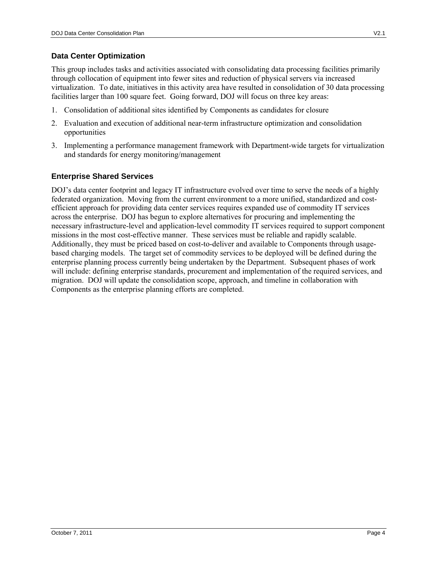### **Data Center Optimization**

This group includes tasks and activities associated with consolidating data processing facilities primarily through collocation of equipment into fewer sites and reduction of physical servers via increased virtualization. To date, initiatives in this activity area have resulted in consolidation of 30 data processing facilities larger than 100 square feet. Going forward, DOJ will focus on three key areas:

- 1. Consolidation of additional sites identified by Components as candidates for closure
- 2. Evaluation and execution of additional near-term infrastructure optimization and consolidation opportunities
- 3. Implementing a performance management framework with Department-wide targets for virtualization and standards for energy monitoring/management

# **Enterprise Shared Services**

DOJ's data center footprint and legacy IT infrastructure evolved over time to serve the needs of a highly federated organization. Moving from the current environment to a more unified, standardized and costefficient approach for providing data center services requires expanded use of commodity IT services across the enterprise. DOJ has begun to explore alternatives for procuring and implementing the necessary infrastructure-level and application-level commodity IT services required to support component missions in the most cost-effective manner. These services must be reliable and rapidly scalable. Additionally, they must be priced based on cost-to-deliver and available to Components through usagebased charging models. The target set of commodity services to be deployed will be defined during the enterprise planning process currently being undertaken by the Department. Subsequent phases of work will include: defining enterprise standards, procurement and implementation of the required services, and migration. DOJ will update the consolidation scope, approach, and timeline in collaboration with Components as the enterprise planning efforts are completed.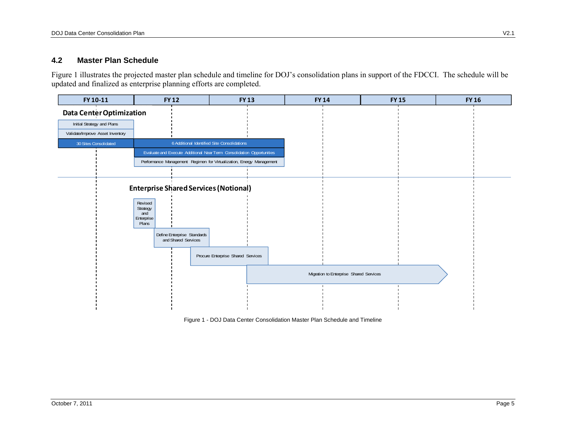#### **4.2 Master Plan Schedule**

Figure 1 illustrates the projected master plan schedule and timeline for DOJ's consolidation plans in support of the FDCCI. The schedule will be updated and finalized as enterprise planning efforts are completed.



Figure 1 - DOJ Data Center Consolidation Master Plan Schedule and Timeline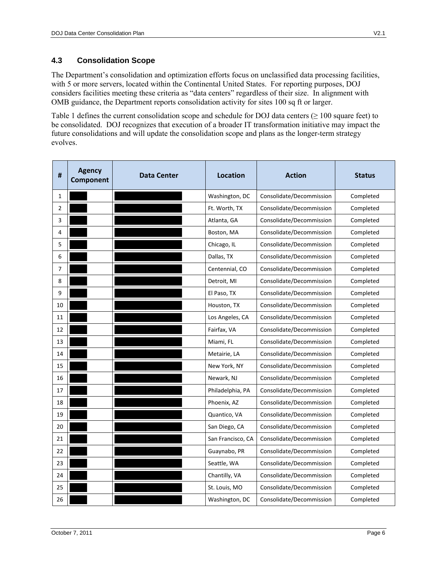# **4.3 Consolidation Scope**

The Department's consolidation and optimization efforts focus on unclassified data processing facilities, with 5 or more servers, located within the Continental United States. For reporting purposes, DOJ considers facilities meeting these criteria as "data centers" regardless of their size. In alignment with OMB guidance, the Department reports consolidation activity for sites 100 sq ft or larger.

Table 1 defines the current consolidation scope and schedule for DOJ data centers  $(≥ 100$  square feet) to be consolidated. DOJ recognizes that execution of a broader IT transformation initiative may impact the future consolidations and will update the consolidation scope and plans as the longer-term strategy evolves.

| $\pmb{\sharp}$ | <b>Agency</b><br>Component | Data Center | Location          | <b>Action</b>            | <b>Status</b> |
|----------------|----------------------------|-------------|-------------------|--------------------------|---------------|
| 1              |                            |             | Washington, DC    | Consolidate/Decommission | Completed     |
| 2              |                            |             | Ft. Worth, TX     | Consolidate/Decommission | Completed     |
| 3              |                            |             | Atlanta, GA       | Consolidate/Decommission | Completed     |
| 4              |                            |             | Boston, MA        | Consolidate/Decommission | Completed     |
| 5              |                            |             | Chicago, IL       | Consolidate/Decommission | Completed     |
| 6              |                            |             | Dallas, TX        | Consolidate/Decommission | Completed     |
| 7              |                            |             | Centennial, CO    | Consolidate/Decommission | Completed     |
| 8              |                            |             | Detroit, MI       | Consolidate/Decommission | Completed     |
| 9              |                            |             | El Paso, TX       | Consolidate/Decommission | Completed     |
| 10             |                            |             | Houston, TX       | Consolidate/Decommission | Completed     |
| 11             |                            |             | Los Angeles, CA   | Consolidate/Decommission | Completed     |
| 12             |                            |             | Fairfax, VA       | Consolidate/Decommission | Completed     |
| 13             |                            |             | Miami, FL         | Consolidate/Decommission | Completed     |
| 14             |                            |             | Metairie, LA      | Consolidate/Decommission | Completed     |
| 15             |                            |             | New York, NY      | Consolidate/Decommission | Completed     |
| 16             |                            |             | Newark, NJ        | Consolidate/Decommission | Completed     |
| 17             |                            |             | Philadelphia, PA  | Consolidate/Decommission | Completed     |
| 18             |                            |             | Phoenix, AZ       | Consolidate/Decommission | Completed     |
| 19             |                            |             | Quantico, VA      | Consolidate/Decommission | Completed     |
| 20             |                            |             | San Diego, CA     | Consolidate/Decommission | Completed     |
| 21             |                            |             | San Francisco, CA | Consolidate/Decommission | Completed     |
| 22             |                            |             | Guaynabo, PR      | Consolidate/Decommission | Completed     |
| 23             |                            |             | Seattle, WA       | Consolidate/Decommission | Completed     |
| 24             |                            |             | Chantilly, VA     | Consolidate/Decommission | Completed     |
| 25             |                            |             | St. Louis, MO     | Consolidate/Decommission | Completed     |
| 26             |                            |             | Washington, DC    | Consolidate/Decommission | Completed     |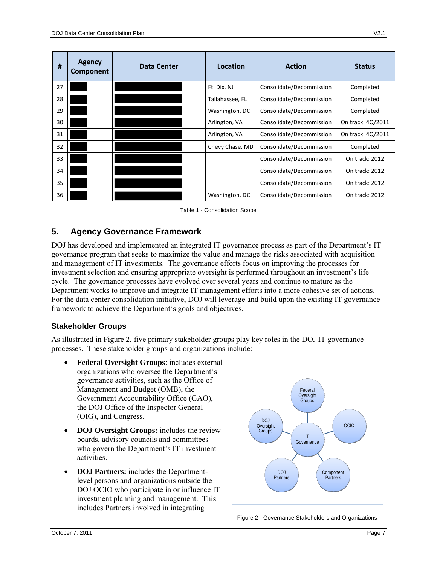| #  | <b>Agency</b><br>Component | <b>Data Center</b> | Location        | <b>Action</b>            | <b>Status</b>     |
|----|----------------------------|--------------------|-----------------|--------------------------|-------------------|
| 27 |                            |                    | Ft. Dix, NJ     | Consolidate/Decommission | Completed         |
| 28 |                            |                    | Tallahassee, FL | Consolidate/Decommission | Completed         |
| 29 |                            |                    | Washington, DC  | Consolidate/Decommission | Completed         |
| 30 |                            |                    | Arlington, VA   | Consolidate/Decommission | On track: 4Q/2011 |
| 31 |                            |                    | Arlington, VA   | Consolidate/Decommission | On track: 4Q/2011 |
| 32 |                            |                    | Chevy Chase, MD | Consolidate/Decommission | Completed         |
| 33 |                            |                    |                 | Consolidate/Decommission | On track: 2012    |
| 34 |                            |                    |                 | Consolidate/Decommission | On track: 2012    |
| 35 |                            |                    |                 | Consolidate/Decommission | On track: 2012    |
| 36 |                            |                    | Washington, DC  | Consolidate/Decommission | On track: 2012    |

Table 1 - Consolidation Scope

# **5. Agency Governance Framework**

DOJ has developed and implemented an integrated IT governance process as part of the Department's IT governance program that seeks to maximize the value and manage the risks associated with acquisition and management of IT investments. The governance efforts focus on improving the processes for investment selection and ensuring appropriate oversight is performed throughout an investment's life cycle. The governance processes have evolved over several years and continue to mature as the Department works to improve and integrate IT management efforts into a more cohesive set of actions. For the data center consolidation initiative, DOJ will leverage and build upon the existing IT governance framework to achieve the Department's goals and objectives.

### **Stakeholder Groups**

As illustrated in Figure 2, five primary stakeholder groups play key roles in the DOJ IT governance processes. These stakeholder groups and organizations include:

- **Federal Oversight Groups**: includes external organizations who oversee the Department's governance activities, such as the Office of Management and Budget (OMB), the Government Accountability Office (GAO), the DOJ Office of the Inspector General (OIG), and Congress.
- **DOJ Oversight Groups:** includes the review boards, advisory councils and committees who govern the Department's IT investment activities.
- **DOJ Partners:** includes the Departmentlevel persons and organizations outside the DOJ OCIO who participate in or influence IT investment planning and management. This includes Partners involved in integrating



Figure 2 - Governance Stakeholders and Organizations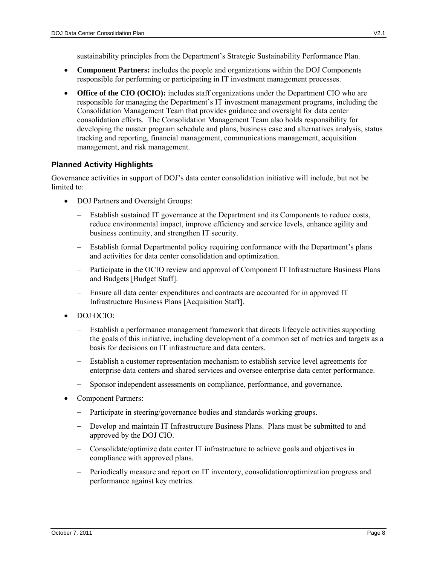sustainability principles from the Department's Strategic Sustainability Performance Plan.

- **Component Partners:** includes the people and organizations within the DOJ Components responsible for performing or participating in IT investment management processes.
- **Office of the CIO (OCIO):** includes staff organizations under the Department CIO who are responsible for managing the Department's IT investment management programs, including the Consolidation Management Team that provides guidance and oversight for data center consolidation efforts. The Consolidation Management Team also holds responsibility for developing the master program schedule and plans, business case and alternatives analysis, status tracking and reporting, financial management, communications management, acquisition management, and risk management.

### **Planned Activity Highlights**

Governance activities in support of DOJ's data center consolidation initiative will include, but not be limited to:

- DOJ Partners and Oversight Groups:
	- Establish sustained IT governance at the Department and its Components to reduce costs, reduce environmental impact, improve efficiency and service levels, enhance agility and business continuity, and strengthen IT security.
	- Establish formal Departmental policy requiring conformance with the Department's plans and activities for data center consolidation and optimization.
	- Participate in the OCIO review and approval of Component IT Infrastructure Business Plans and Budgets [Budget Staff].
	- Ensure all data center expenditures and contracts are accounted for in approved IT Infrastructure Business Plans [Acquisition Staff].
- DOJ OCIO:
	- Establish a performance management framework that directs lifecycle activities supporting the goals of this initiative, including development of a common set of metrics and targets as a basis for decisions on IT infrastructure and data centers.
	- Establish a customer representation mechanism to establish service level agreements for enterprise data centers and shared services and oversee enterprise data center performance.
	- Sponsor independent assessments on compliance, performance, and governance.
- Component Partners:
	- Participate in steering/governance bodies and standards working groups.
	- Develop and maintain IT Infrastructure Business Plans. Plans must be submitted to and approved by the DOJ CIO.
	- Consolidate/optimize data center IT infrastructure to achieve goals and objectives in compliance with approved plans.
	- Periodically measure and report on IT inventory, consolidation/optimization progress and performance against key metrics.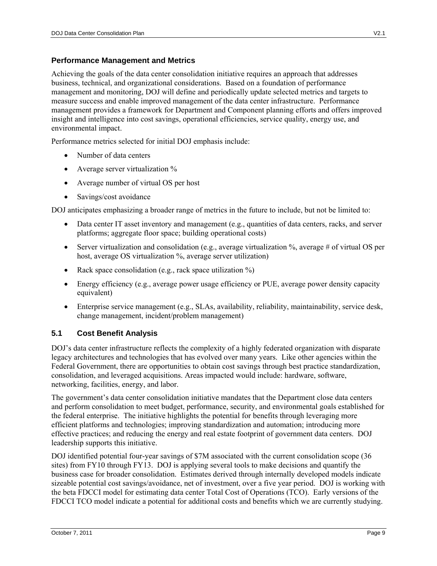## **Performance Management and Metrics**

Achieving the goals of the data center consolidation initiative requires an approach that addresses business, technical, and organizational considerations. Based on a foundation of performance management and monitoring, DOJ will define and periodically update selected metrics and targets to measure success and enable improved management of the data center infrastructure. Performance management provides a framework for Department and Component planning efforts and offers improved insight and intelligence into cost savings, operational efficiencies, service quality, energy use, and environmental impact.

Performance metrics selected for initial DOJ emphasis include:

- Number of data centers
- Average server virtualization %
- Average number of virtual OS per host
- Savings/cost avoidance

DOJ anticipates emphasizing a broader range of metrics in the future to include, but not be limited to:

- Data center IT asset inventory and management (e.g., quantities of data centers, racks, and server platforms; aggregate floor space; building operational costs)
- Server virtualization and consolidation (e.g., average virtualization  $\%$ , average # of virtual OS per host, average OS virtualization %, average server utilization)
- Rack space consolidation (e.g., rack space utilization  $\%$ )
- Energy efficiency (e.g., average power usage efficiency or PUE, average power density capacity equivalent)
- Enterprise service management (e.g., SLAs, availability, reliability, maintainability, service desk, change management, incident/problem management)

# **5.1 Cost Benefit Analysis**

DOJ's data center infrastructure reflects the complexity of a highly federated organization with disparate legacy architectures and technologies that has evolved over many years. Like other agencies within the Federal Government, there are opportunities to obtain cost savings through best practice standardization, consolidation, and leveraged acquisitions. Areas impacted would include: hardware, software, networking, facilities, energy, and labor.

The government's data center consolidation initiative mandates that the Department close data centers and perform consolidation to meet budget, performance, security, and environmental goals established for the federal enterprise. The initiative highlights the potential for benefits through leveraging more efficient platforms and technologies; improving standardization and automation; introducing more effective practices; and reducing the energy and real estate footprint of government data centers. DOJ leadership supports this initiative.

DOJ identified potential four-year savings of \$7M associated with the current consolidation scope (36 sites) from FY10 through FY13. DOJ is applying several tools to make decisions and quantify the business case for broader consolidation. Estimates derived through internally developed models indicate sizeable potential cost savings/avoidance, net of investment, over a five year period. DOJ is working with the beta FDCCI model for estimating data center Total Cost of Operations (TCO). Early versions of the FDCCI TCO model indicate a potential for additional costs and benefits which we are currently studying.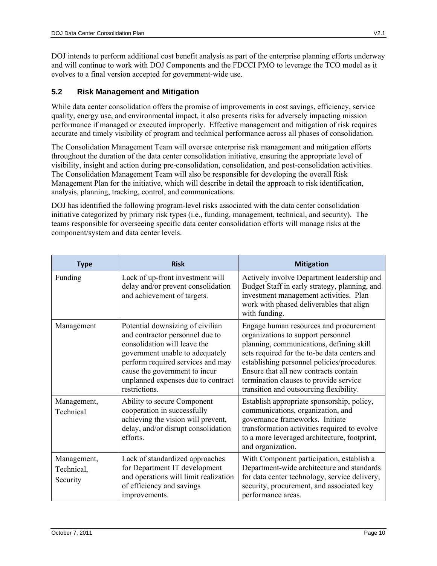DOJ intends to perform additional cost benefit analysis as part of the enterprise planning efforts underway and will continue to work with DOJ Components and the FDCCI PMO to leverage the TCO model as it evolves to a final version accepted for government-wide use.

# **5.2 Risk Management and Mitigation**

While data center consolidation offers the promise of improvements in cost savings, efficiency, service quality, energy use, and environmental impact, it also presents risks for adversely impacting mission performance if managed or executed improperly. Effective management and mitigation of risk requires accurate and timely visibility of program and technical performance across all phases of consolidation.

The Consolidation Management Team will oversee enterprise risk management and mitigation efforts throughout the duration of the data center consolidation initiative, ensuring the appropriate level of visibility, insight and action during pre-consolidation, consolidation, and post-consolidation activities. The Consolidation Management Team will also be responsible for developing the overall Risk Management Plan for the initiative, which will describe in detail the approach to risk identification, analysis, planning, tracking, control, and communications.

DOJ has identified the following program-level risks associated with the data center consolidation initiative categorized by primary risk types (i.e., funding, management, technical, and security). The teams responsible for overseeing specific data center consolidation efforts will manage risks at the component/system and data center levels.

| <b>Type</b>                           | <b>Risk</b>                                                                                                                                                                                                                                                         | <b>Mitigation</b>                                                                                                                                                                                                                                                                                                                                     |
|---------------------------------------|---------------------------------------------------------------------------------------------------------------------------------------------------------------------------------------------------------------------------------------------------------------------|-------------------------------------------------------------------------------------------------------------------------------------------------------------------------------------------------------------------------------------------------------------------------------------------------------------------------------------------------------|
| Funding                               | Lack of up-front investment will<br>delay and/or prevent consolidation<br>and achievement of targets.                                                                                                                                                               | Actively involve Department leadership and<br>Budget Staff in early strategy, planning, and<br>investment management activities. Plan<br>work with phased deliverables that align<br>with funding.                                                                                                                                                    |
| Management                            | Potential downsizing of civilian<br>and contractor personnel due to<br>consolidation will leave the<br>government unable to adequately<br>perform required services and may<br>cause the government to incur<br>unplanned expenses due to contract<br>restrictions. | Engage human resources and procurement<br>organizations to support personnel<br>planning, communications, defining skill<br>sets required for the to-be data centers and<br>establishing personnel policies/procedures.<br>Ensure that all new contracts contain<br>termination clauses to provide service<br>transition and outsourcing flexibility. |
| Management,<br>Technical              | Ability to secure Component<br>cooperation in successfully<br>achieving the vision will prevent,<br>delay, and/or disrupt consolidation<br>efforts.                                                                                                                 | Establish appropriate sponsorship, policy,<br>communications, organization, and<br>governance frameworks. Initiate<br>transformation activities required to evolve<br>to a more leveraged architecture, footprint,<br>and organization.                                                                                                               |
| Management,<br>Technical,<br>Security | Lack of standardized approaches<br>for Department IT development<br>and operations will limit realization<br>of efficiency and savings<br>improvements.                                                                                                             | With Component participation, establish a<br>Department-wide architecture and standards<br>for data center technology, service delivery,<br>security, procurement, and associated key<br>performance areas.                                                                                                                                           |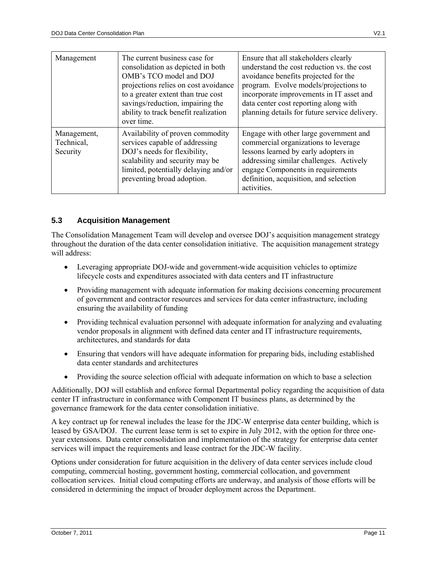| Management                            | The current business case for<br>consolidation as depicted in both<br>OMB's TCO model and DOJ<br>projections relies on cost avoidance<br>to a greater extent than true cost<br>savings/reduction, impairing the<br>ability to track benefit realization<br>over time. | Ensure that all stakeholders clearly<br>understand the cost reduction vs. the cost<br>avoidance benefits projected for the<br>program. Evolve models/projections to<br>incorporate improvements in IT asset and<br>data center cost reporting along with<br>planning details for future service delivery. |
|---------------------------------------|-----------------------------------------------------------------------------------------------------------------------------------------------------------------------------------------------------------------------------------------------------------------------|-----------------------------------------------------------------------------------------------------------------------------------------------------------------------------------------------------------------------------------------------------------------------------------------------------------|
| Management,<br>Technical,<br>Security | Availability of proven commodity<br>services capable of addressing<br>DOJ's needs for flexibility,<br>scalability and security may be<br>limited, potentially delaying and/or<br>preventing broad adoption.                                                           | Engage with other large government and<br>commercial organizations to leverage<br>lessons learned by early adopters in<br>addressing similar challenges. Actively<br>engage Components in requirements<br>definition, acquisition, and selection<br>activities.                                           |

### **5.3 Acquisition Management**

The Consolidation Management Team will develop and oversee DOJ's acquisition management strategy throughout the duration of the data center consolidation initiative. The acquisition management strategy will address:

- Leveraging appropriate DOJ-wide and government-wide acquisition vehicles to optimize lifecycle costs and expenditures associated with data centers and IT infrastructure
- Providing management with adequate information for making decisions concerning procurement of government and contractor resources and services for data center infrastructure, including ensuring the availability of funding
- Providing technical evaluation personnel with adequate information for analyzing and evaluating vendor proposals in alignment with defined data center and IT infrastructure requirements, architectures, and standards for data
- Ensuring that vendors will have adequate information for preparing bids, including established data center standards and architectures
- Providing the source selection official with adequate information on which to base a selection

Additionally, DOJ will establish and enforce formal Departmental policy regarding the acquisition of data center IT infrastructure in conformance with Component IT business plans, as determined by the governance framework for the data center consolidation initiative.

A key contract up for renewal includes the lease for the JDC-W enterprise data center building, which is leased by GSA/DOJ. The current lease term is set to expire in July 2012, with the option for three oneyear extensions. Data center consolidation and implementation of the strategy for enterprise data center services will impact the requirements and lease contract for the JDC-W facility.

Options under consideration for future acquisition in the delivery of data center services include cloud computing, commercial hosting, government hosting, commercial collocation, and government collocation services. Initial cloud computing efforts are underway, and analysis of those efforts will be considered in determining the impact of broader deployment across the Department.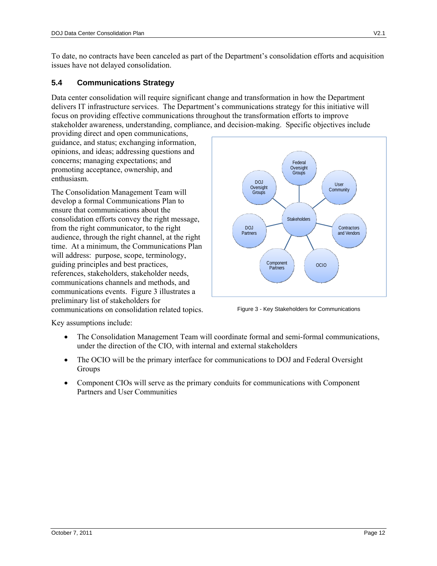To date, no contracts have been canceled as part of the Department's consolidation efforts and acquisition issues have not delayed consolidation.

#### **5.4 Communications Strategy**

Data center consolidation will require significant change and transformation in how the Department delivers IT infrastructure services. The Department's communications strategy for this initiative will focus on providing effective communications throughout the transformation efforts to improve stakeholder awareness, understanding, compliance, and decision-making. Specific objectives include

providing direct and open communications, guidance, and status; exchanging information, opinions, and ideas; addressing questions and concerns; managing expectations; and promoting acceptance, ownership, and enthusiasm.

The Consolidation Management Team will develop a formal Communications Plan to ensure that communications about the consolidation efforts convey the right message, from the right communicator, to the right audience, through the right channel, at the right time. At a minimum, the Communications Plan will address: purpose, scope, terminology, guiding principles and best practices, references, stakeholders, stakeholder needs, communications channels and methods, and communications events. Figure 3 illustrates a preliminary list of stakeholders for communications on consolidation related topics. Figure 3 - Key Stakeholders for Communications



Key assumptions include:

- The Consolidation Management Team will coordinate formal and semi-formal communications, under the direction of the CIO, with internal and external stakeholders
- The OCIO will be the primary interface for communications to DOJ and Federal Oversight Groups
- Component CIOs will serve as the primary conduits for communications with Component Partners and User Communities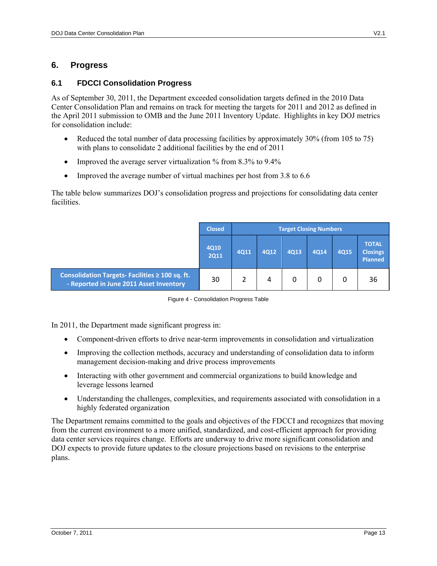### **6. Progress**

#### **6.1 FDCCI Consolidation Progress**

As of September 30, 2011, the Department exceeded consolidation targets defined in the 2010 Data Center Consolidation Plan and remains on track for meeting the targets for 2011 and 2012 as defined in the April 2011 submission to OMB and the June 2011 Inventory Update. Highlights in key DOJ metrics for consolidation include:

- Reduced the total number of data processing facilities by approximately 30% (from 105 to 75) with plans to consolidate 2 additional facilities by the end of 2011
- Improved the average server virtualization  $\%$  from 8.3% to 9.4%
- Improved the average number of virtual machines per host from 3.8 to 6.6

The table below summarizes DOJ's consolidation progress and projections for consolidating data center facilities.

|                                                                                                | <b>Closed</b>       | <b>Target Closing Numbers</b> |      |      |      |      |                                                   |
|------------------------------------------------------------------------------------------------|---------------------|-------------------------------|------|------|------|------|---------------------------------------------------|
|                                                                                                | 4Q10<br><b>2Q11</b> | 4Q11                          | 4Q12 | 4Q13 | 4Q14 | 4Q15 | <b>TOTAL</b><br><b>Closings</b><br><b>Planned</b> |
| Consolidation Targets-Facilities $\geq 100$ sq. ft.<br>- Reported in June 2011 Asset Inventory | 30                  |                               | 4    | 0    | 0    |      | 36                                                |

| Figure 4 - Consolidation Progress Table |  |
|-----------------------------------------|--|

In 2011, the Department made significant progress in:

- Component-driven efforts to drive near-term improvements in consolidation and virtualization
- Improving the collection methods, accuracy and understanding of consolidation data to inform management decision-making and drive process improvements
- Interacting with other government and commercial organizations to build knowledge and leverage lessons learned
- Understanding the challenges, complexities, and requirements associated with consolidation in a highly federated organization

The Department remains committed to the goals and objectives of the FDCCI and recognizes that moving from the current environment to a more unified, standardized, and cost-efficient approach for providing data center services requires change. Efforts are underway to drive more significant consolidation and DOJ expects to provide future updates to the closure projections based on revisions to the enterprise plans.